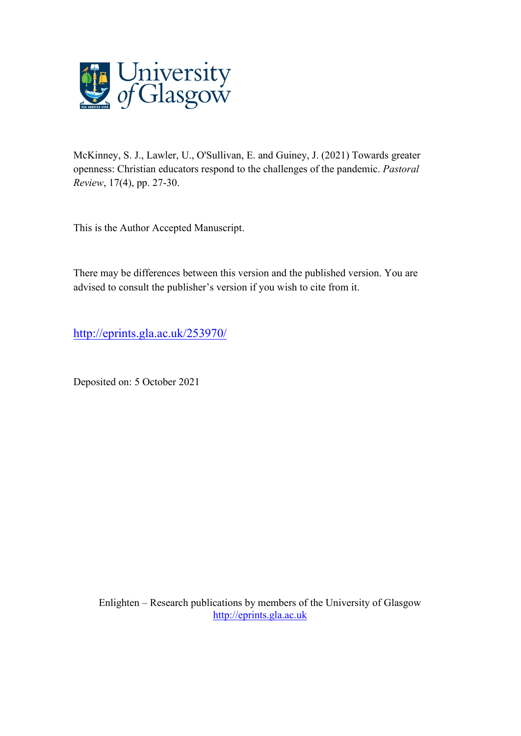

McKinney, S. J., Lawler, U., O'Sullivan, E. and Guiney, J. (2021) Towards greater openness: Christian educators respond to the challenges of the pandemic. *Pastoral Review*, 17(4), pp. 27-30.

This is the Author Accepted Manuscript.

There may be differences between this version and the published version. You are advised to consult the publisher's version if you wish to cite from it.

<http://eprints.gla.ac.uk/253970/>

Deposited on: 5 October 2021

Enlighten – Research publications by members of the University of Glasgow [http://eprints.gla.ac.uk](http://eprints.gla.ac.uk/)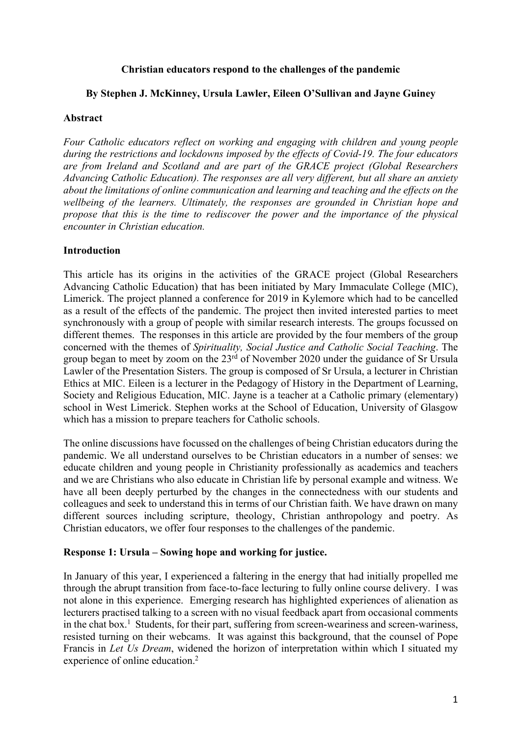## **Christian educators respond to the challenges of the pandemic**

# **By Stephen J. McKinney, Ursula Lawler, Eileen O'Sullivan and Jayne Guiney**

## **Abstract**

*Four Catholic educators reflect on working and engaging with children and young people during the restrictions and lockdowns imposed by the effects of Covid-19. The four educators are from Ireland and Scotland and are part of the GRACE project (Global Researchers Advancing Catholic Education). The responses are all very different, but all share an anxiety about the limitations of online communication and learning and teaching and the effects on the wellbeing of the learners. Ultimately, the responses are grounded in Christian hope and propose that this is the time to rediscover the power and the importance of the physical encounter in Christian education.*

# **Introduction**

This article has its origins in the activities of the GRACE project (Global Researchers Advancing Catholic Education) that has been initiated by Mary Immaculate College (MIC), Limerick. The project planned a conference for 2019 in Kylemore which had to be cancelled as a result of the effects of the pandemic. The project then invited interested parties to meet synchronously with a group of people with similar research interests. The groups focussed on different themes. The responses in this article are provided by the four members of the group concerned with the themes of *Spirituality, Social Justice and Catholic Social Teaching*. The group began to meet by zoom on the  $23<sup>rd</sup>$  of November 2020 under the guidance of Sr Ursula Lawler of the Presentation Sisters. The group is composed of Sr Ursula, a lecturer in Christian Ethics at MIC. Eileen is a lecturer in the Pedagogy of History in the Department of Learning, Society and Religious Education, MIC. Jayne is a teacher at a Catholic primary (elementary) school in West Limerick. Stephen works at the School of Education, University of Glasgow which has a mission to prepare teachers for Catholic schools.

The online discussions have focussed on the challenges of being Christian educators during the pandemic. We all understand ourselves to be Christian educators in a number of senses: we educate children and young people in Christianity professionally as academics and teachers and we are Christians who also educate in Christian life by personal example and witness. We have all been deeply perturbed by the changes in the connectedness with our students and colleagues and seek to understand this in terms of our Christian faith. We have drawn on many different sources including scripture, theology, Christian anthropology and poetry. As Christian educators, we offer four responses to the challenges of the pandemic.

#### **Response 1: Ursula – Sowing hope and working for justice.**

In January of this year, I experienced a faltering in the energy that had initially propelled me through the abrupt transition from face-to-face lecturing to fully online course delivery. I was not alone in this experience. Emerging research has highlighted experiences of alienation as lecturers practised talking to a screen with no visual feedback apart from occasional comments in the chat box.<sup>1</sup> Students, for their part, suffering from screen-weariness and screen-wariness, resisted turning on their webcams. It was against this background, that the counsel of Pope Francis in *Let Us Dream*, widened the horizon of interpretation within which I situated my experience of online education.2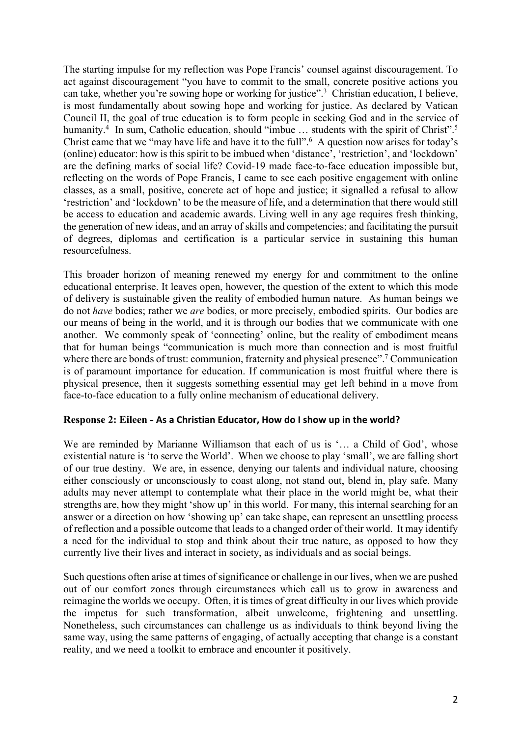The starting impulse for my reflection was Pope Francis' counsel against discouragement. To act against discouragement "you have to commit to the small, concrete positive actions you can take, whether you're sowing hope or working for justice".3 Christian education, I believe, is most fundamentally about sowing hope and working for justice. As declared by Vatican Council II, the goal of true education is to form people in seeking God and in the service of humanity.<sup>4</sup> In sum, Catholic education, should "imbue ... students with the spirit of Christ".<sup>5</sup> Christ came that we "may have life and have it to the full".6 A question now arises for today's (online) educator: how is this spirit to be imbued when 'distance', 'restriction', and 'lockdown' are the defining marks of social life? Covid-19 made face-to-face education impossible but, reflecting on the words of Pope Francis, I came to see each positive engagement with online classes, as a small, positive, concrete act of hope and justice; it signalled a refusal to allow 'restriction' and 'lockdown' to be the measure of life, and a determination that there would still be access to education and academic awards. Living well in any age requires fresh thinking, the generation of new ideas, and an array of skills and competencies; and facilitating the pursuit of degrees, diplomas and certification is a particular service in sustaining this human resourcefulness.

This broader horizon of meaning renewed my energy for and commitment to the online educational enterprise. It leaves open, however, the question of the extent to which this mode of delivery is sustainable given the reality of embodied human nature. As human beings we do not *have* bodies; rather we *are* bodies, or more precisely, embodied spirits. Our bodies are our means of being in the world, and it is through our bodies that we communicate with one another. We commonly speak of 'connecting' online, but the reality of embodiment means that for human beings "communication is much more than connection and is most fruitful where there are bonds of trust: communion, fraternity and physical presence".<sup>7</sup> Communication is of paramount importance for education. If communication is most fruitful where there is physical presence, then it suggests something essential may get left behind in a move from face-to-face education to a fully online mechanism of educational delivery.

#### **Response 2: Eileen - As a Christian Educator, How do I show up in the world?**

We are reminded by Marianne Williamson that each of us is '... a Child of God', whose existential nature is 'to serve the World'. When we choose to play 'small', we are falling short of our true destiny. We are, in essence, denying our talents and individual nature, choosing either consciously or unconsciously to coast along, not stand out, blend in, play safe. Many adults may never attempt to contemplate what their place in the world might be, what their strengths are, how they might 'show up' in this world. For many, this internal searching for an answer or a direction on how 'showing up' can take shape, can represent an unsettling process of reflection and a possible outcome that leads to a changed order of their world. It may identify a need for the individual to stop and think about their true nature, as opposed to how they currently live their lives and interact in society, as individuals and as social beings.

Such questions often arise at times of significance or challenge in our lives, when we are pushed out of our comfort zones through circumstances which call us to grow in awareness and reimagine the worlds we occupy. Often, it is times of great difficulty in our lives which provide the impetus for such transformation, albeit unwelcome, frightening and unsettling. Nonetheless, such circumstances can challenge us as individuals to think beyond living the same way, using the same patterns of engaging, of actually accepting that change is a constant reality, and we need a toolkit to embrace and encounter it positively.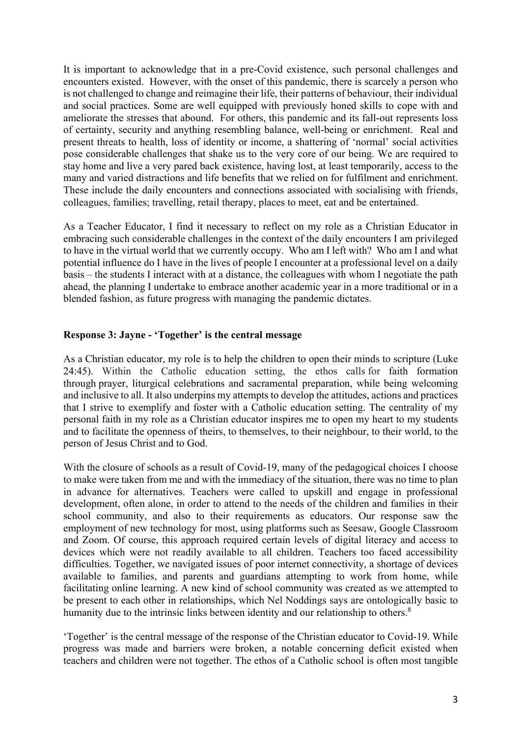It is important to acknowledge that in a pre-Covid existence, such personal challenges and encounters existed. However, with the onset of this pandemic, there is scarcely a person who is not challenged to change and reimagine their life, their patterns of behaviour, their individual and social practices. Some are well equipped with previously honed skills to cope with and ameliorate the stresses that abound. For others, this pandemic and its fall-out represents loss of certainty, security and anything resembling balance, well-being or enrichment. Real and present threats to health, loss of identity or income, a shattering of 'normal' social activities pose considerable challenges that shake us to the very core of our being. We are required to stay home and live a very pared back existence, having lost, at least temporarily, access to the many and varied distractions and life benefits that we relied on for fulfilment and enrichment. These include the daily encounters and connections associated with socialising with friends, colleagues, families; travelling, retail therapy, places to meet, eat and be entertained.

As a Teacher Educator, I find it necessary to reflect on my role as a Christian Educator in embracing such considerable challenges in the context of the daily encounters I am privileged to have in the virtual world that we currently occupy. Who am I left with? Who am I and what potential influence do I have in the lives of people I encounter at a professional level on a daily basis – the students I interact with at a distance, the colleagues with whom I negotiate the path ahead, the planning I undertake to embrace another academic year in a more traditional or in a blended fashion, as future progress with managing the pandemic dictates.

## **Response 3: Jayne - 'Together' is the central message**

As a Christian educator, my role is to help the children to open their minds to scripture (Luke 24:45). Within the Catholic education setting, the ethos calls for faith formation through prayer, liturgical celebrations and sacramental preparation, while being welcoming and inclusive to all. It also underpins my attempts to develop the attitudes, actions and practices that I strive to exemplify and foster with a Catholic education setting. The centrality of my personal faith in my role as a Christian educator inspires me to open my heart to my students and to facilitate the openness of theirs, to themselves, to their neighbour, to their world, to the person of Jesus Christ and to God.

With the closure of schools as a result of Covid-19, many of the pedagogical choices I choose to make were taken from me and with the immediacy of the situation, there was no time to plan in advance for alternatives. Teachers were called to upskill and engage in professional development, often alone, in order to attend to the needs of the children and families in their school community, and also to their requirements as educators. Our response saw the employment of new technology for most, using platforms such as Seesaw, Google Classroom and Zoom. Of course, this approach required certain levels of digital literacy and access to devices which were not readily available to all children. Teachers too faced accessibility difficulties. Together, we navigated issues of poor internet connectivity, a shortage of devices available to families, and parents and guardians attempting to work from home, while facilitating online learning. A new kind of school community was created as we attempted to be present to each other in relationships, which Nel Noddings says are ontologically basic to humanity due to the intrinsic links between identity and our relationship to others.<sup>8</sup>

'Together' is the central message of the response of the Christian educator to Covid-19. While progress was made and barriers were broken, a notable concerning deficit existed when teachers and children were not together. The ethos of a Catholic school is often most tangible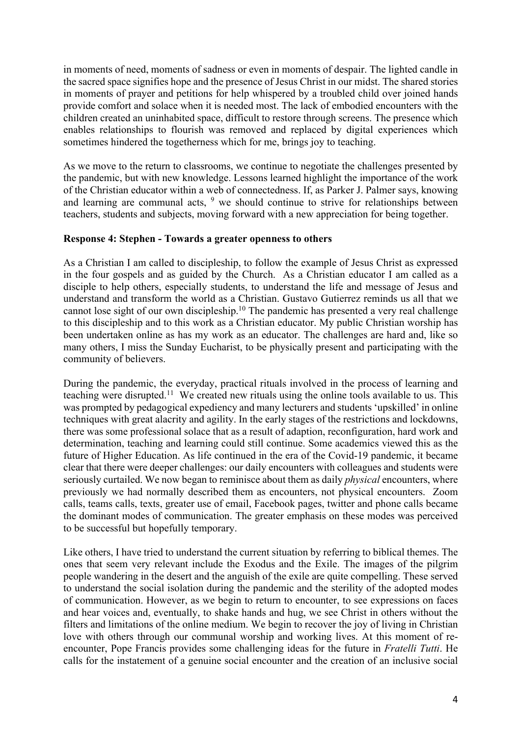in moments of need, moments of sadness or even in moments of despair. The lighted candle in the sacred space signifies hope and the presence of Jesus Christ in our midst. The shared stories in moments of prayer and petitions for help whispered by a troubled child over joined hands provide comfort and solace when it is needed most. The lack of embodied encounters with the children created an uninhabited space, difficult to restore through screens. The presence which enables relationships to flourish was removed and replaced by digital experiences which sometimes hindered the togetherness which for me, brings joy to teaching.

As we move to the return to classrooms, we continue to negotiate the challenges presented by the pandemic, but with new knowledge. Lessons learned highlight the importance of the work of the Christian educator within a web of connectedness. If, as Parker J. Palmer says, knowing and learning are communal acts,  $9$  we should continue to strive for relationships between teachers, students and subjects, moving forward with a new appreciation for being together.

## **Response 4: Stephen - Towards a greater openness to others**

As a Christian I am called to discipleship, to follow the example of Jesus Christ as expressed in the four gospels and as guided by the Church. As a Christian educator I am called as a disciple to help others, especially students, to understand the life and message of Jesus and understand and transform the world as a Christian. Gustavo Gutierrez reminds us all that we cannot lose sight of our own discipleship.10 The pandemic has presented a very real challenge to this discipleship and to this work as a Christian educator. My public Christian worship has been undertaken online as has my work as an educator. The challenges are hard and, like so many others, I miss the Sunday Eucharist, to be physically present and participating with the community of believers.

During the pandemic, the everyday, practical rituals involved in the process of learning and teaching were disrupted.11 We created new rituals using the online tools available to us. This was prompted by pedagogical expediency and many lecturers and students 'upskilled' in online techniques with great alacrity and agility. In the early stages of the restrictions and lockdowns, there was some professional solace that as a result of adaption, reconfiguration, hard work and determination, teaching and learning could still continue. Some academics viewed this as the future of Higher Education. As life continued in the era of the Covid-19 pandemic, it became clear that there were deeper challenges: our daily encounters with colleagues and students were seriously curtailed. We now began to reminisce about them as daily *physical* encounters, where previously we had normally described them as encounters, not physical encounters. Zoom calls, teams calls, texts, greater use of email, Facebook pages, twitter and phone calls became the dominant modes of communication. The greater emphasis on these modes was perceived to be successful but hopefully temporary.

Like others, I have tried to understand the current situation by referring to biblical themes. The ones that seem very relevant include the Exodus and the Exile. The images of the pilgrim people wandering in the desert and the anguish of the exile are quite compelling. These served to understand the social isolation during the pandemic and the sterility of the adopted modes of communication. However, as we begin to return to encounter, to see expressions on faces and hear voices and, eventually, to shake hands and hug, we see Christ in others without the filters and limitations of the online medium. We begin to recover the joy of living in Christian love with others through our communal worship and working lives. At this moment of reencounter, Pope Francis provides some challenging ideas for the future in *Fratelli Tutti*. He calls for the instatement of a genuine social encounter and the creation of an inclusive social